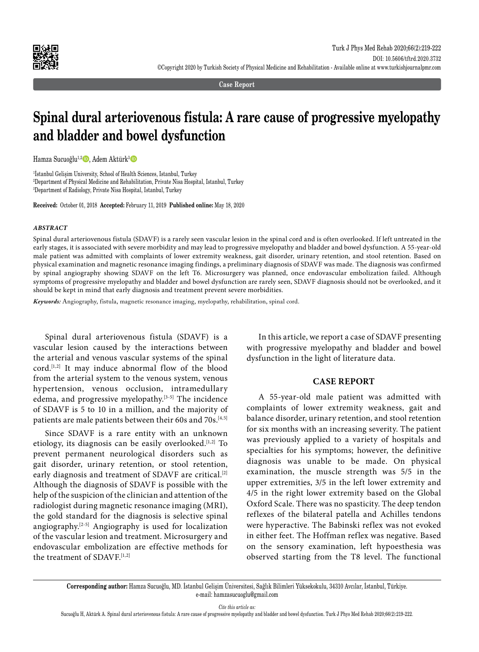

**Case Report**

# **Spinal dural arteriovenous fistula: A rare cause of progressive myelopathy and bladder and bowel dysfunction**

Hamza Sucuoğlu<sup>1,2</sup>, Adem Aktürk<sup>3</sup>D

1 İstanbul Gelişim University, School of Health Sciences, Istanbul, Turkey 2 Department of Physical Medicine and Rehabilitation, Private Nisa Hospital, Istanbul, Turkey 3 Department of Radiology, Private Nisa Hospital, Istanbul, Turkey

**Received:** October 01, 2018 **Accepted:** February 11, 2019 **Published online:** May 18, 2020

#### *ABSTRACT*

Spinal dural arteriovenous fistula (SDAVF) is a rarely seen vascular lesion in the spinal cord and is often overlooked. If left untreated in the early stages, it is associated with severe morbidity and may lead to progressive myelopathy and bladder and bowel dysfunction. A 55-year-old male patient was admitted with complaints of lower extremity weakness, gait disorder, urinary retention, and stool retention. Based on physical examination and magnetic resonance imaging findings, a preliminary diagnosis of SDAVF was made. The diagnosis was confirmed by spinal angiography showing SDAVF on the left T6. Microsurgery was planned, once endovascular embolization failed. Although symptoms of progressive myelopathy and bladder and bowel dysfunction are rarely seen, SDAVF diagnosis should not be overlooked, and it should be kept in mind that early diagnosis and treatment prevent severe morbidities.

*Keywords:* Angiography, fistula, magnetic resonance imaging, myelopathy, rehabilitation, spinal cord.

Spinal dural arteriovenous fistula (SDAVF) is a vascular lesion caused by the interactions between the arterial and venous vascular systems of the spinal cord.[1,2] It may induce abnormal flow of the blood from the arterial system to the venous system, venous hypertension, venous occlusion, intramedullary edema, and progressive myelopathy.<sup>[3-5]</sup> The incidence of SDAVF is 5 to 10 in a million, and the majority of patients are male patients between their 60s and 70s.<sup>[4,5]</sup>

Since SDAVF is a rare entity with an unknown etiology, its diagnosis can be easily overlooked.<sup>[1,2]</sup> To prevent permanent neurological disorders such as gait disorder, urinary retention, or stool retention, early diagnosis and treatment of SDAVF are critical.[2] Although the diagnosis of SDAVF is possible with the help of the suspicion of the clinician and attention of the radiologist during magnetic resonance imaging (MRI), the gold standard for the diagnosis is selective spinal angiography.[2-5] Angiography is used for localization of the vascular lesion and treatment. Microsurgery and endovascular embolization are effective methods for the treatment of SDAVF<sup>[1,2]</sup>

In this article, we report a case of SDAVF presenting with progressive myelopathy and bladder and bowel dysfunction in the light of literature data.

## **CASE REPORT**

A 55-year-old male patient was admitted with complaints of lower extremity weakness, gait and balance disorder, urinary retention, and stool retention for six months with an increasing severity. The patient was previously applied to a variety of hospitals and specialties for his symptoms; however, the definitive diagnosis was unable to be made. On physical examination, the muscle strength was 5/5 in the upper extremities, 3/5 in the left lower extremity and 4/5 in the right lower extremity based on the Global Oxford Scale. There was no spasticity. The deep tendon reflexes of the bilateral patella and Achilles tendons were hyperactive. The Babinski reflex was not evoked in either feet. The Hoffman reflex was negative. Based on the sensory examination, left hypoesthesia was observed starting from the T8 level. The functional

*Cite this article as:*

Sucuoğlu H, Aktürk A. Spinal dural arteriovenous fistula: A rare cause of progressive myelopathy and bladder and bowel dysfunction. Turk J Phys Med Rehab 2020;66(2):219-222.

**Corresponding author:** Hamza Sucuoğlu, MD. İstanbul Gelişim Üniversitesi, Sağlık Bilimleri Yüksekokulu, 34310 Avcılar, İstanbul, Türkiye. e-mail: hamzasucuoglu@gmail.com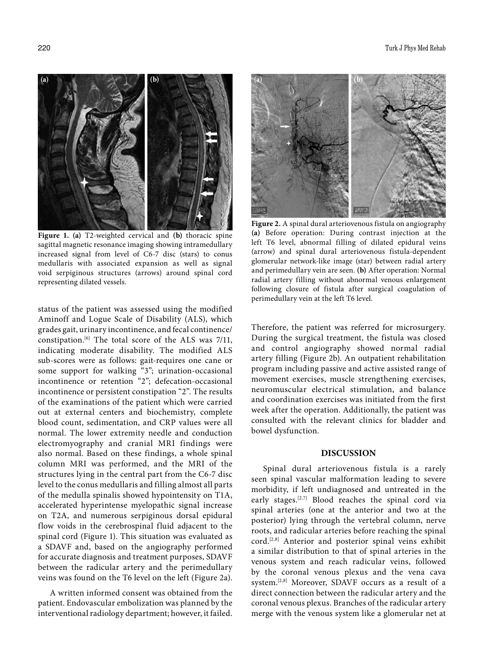

**Figure 1. (a)** T2-weighted cervical and **(b)** thoracic spine sagittal magnetic resonance imaging showing intramedullary increased signal from level of C6-7 disc (stars) to conus medullaris with associated expansion as well as signal void serpiginous structures (arrows) around spinal cord representing dilated vessels.

status of the patient was assessed using the modified Aminoff and Logue Scale of Disability (ALS), which grades gait, urinary incontinence, and fecal continence/ constipation.[6] The total score of the ALS was 7/11, indicating moderate disability. The modified ALS sub-scores were as follows: gait-requires one cane or some support for walking "3"; urination-occasional incontinence or retention "2"; defecation-occasional incontinence or persistent constipation "2". The results of the examinations of the patient which were carried out at external centers and biochemistry, complete blood count, sedimentation, and CRP values were all normal. The lower extremity needle and conduction electromyography and cranial MRI findings were also normal. Based on these findings, a whole spinal column MRI was performed, and the MRI of the structures lying in the central part from the C6-7 disc level to the conus medullaris and filling almost all parts of the medulla spinalis showed hypointensity on T1A, accelerated hyperintense myelopathic signal increase on T2A, and numerous serpiginous dorsal epidural flow voids in the cerebrospinal fluid adjacent to the spinal cord (Figure 1). This situation was evaluated as a SDAVF and, based on the angiography performed for accurate diagnosis and treatment purposes, SDAVF between the radicular artery and the perimedullary veins was found on the T6 level on the left (Figure 2a).

A written informed consent was obtained from the patient. Endovascular embolization was planned by the interventional radiology department; however, it failed.



**Figure 2.** A spinal dural arteriovenous fistula on angiography **(a)** Before operation: During contrast injection at the left T6 level, abnormal filling of dilated epidural veins (arrow) and spinal dural arteriovenous fistula-dependent glomerular network-like image (star) between radial artery and perimedullary vein are seen. **(b)** After operation: Normal radial artery filling without abnormal venous enlargement following closure of fistula after surgical coagulation of perimedullary vein at the left T6 level.

Therefore, the patient was referred for microsurgery. During the surgical treatment, the fistula was closed and control angiography showed normal radial artery filling (Figure 2b). An outpatient rehabilitation program including passive and active assisted range of movement exercises, muscle strengthening exercises, neuromuscular electrical stimulation, and balance and coordination exercises was initiated from the first week after the operation. Additionally, the patient was consulted with the relevant clinics for bladder and bowel dysfunction.

### **DISCUSSION**

Spinal dural arteriovenous fistula is a rarely seen spinal vascular malformation leading to severe morbidity, if left undiagnosed and untreated in the early stages.[2,7] Blood reaches the spinal cord via spinal arteries (one at the anterior and two at the posterior) lying through the vertebral column, nerve roots, and radicular arteries before reaching the spinal cord.[2,8] Anterior and posterior spinal veins exhibit a similar distribution to that of spinal arteries in the venous system and reach radicular veins, followed by the coronal venous plexus and the vena cava system.[2,8] Moreover, SDAVF occurs as a result of a direct connection between the radicular artery and the coronal venous plexus. Branches of the radicular artery merge with the venous system like a glomerular net at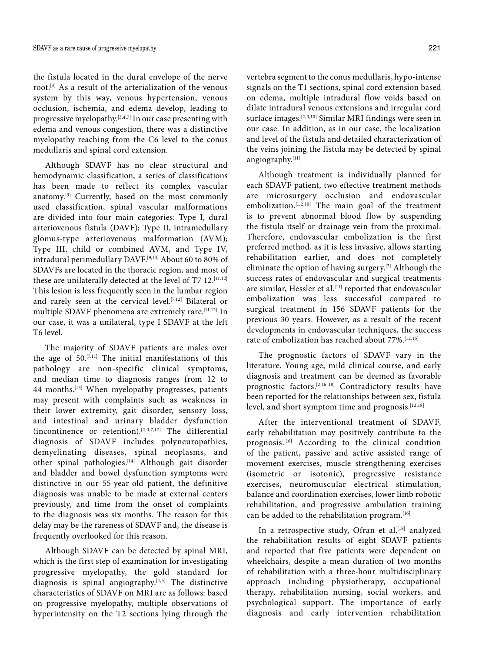the fistula located in the dural envelope of the nerve root.[3] As a result of the arterialization of the venous system by this way, venous hypertension, venous occlusion, ischemia, and edema develop, leading to progressive myelopathy.<sup>[3,4,7]</sup> In our case presenting with edema and venous congestion, there was a distinctive myelopathy reaching from the C6 level to the conus medullaris and spinal cord extension.

Although SDAVF has no clear structural and hemodynamic classification, a series of classifications has been made to reflect its complex vascular anatomy.[9] Currently, based on the most commonly used classification, spinal vascular malformations are divided into four main categories: Type I, dural arteriovenous fistula (DAVF); Type II, intramedullary glomus-type arteriovenous malformation (AVM); Type III, child or combined AVM, and Type IV, intradural perimedullary DAVF.[9,10] About 60 to 80% of SDAVFs are located in the thoracic region, and most of these are unilaterally detected at the level of  $T7-12$ .<sup>[11,12]</sup> This lesion is less frequently seen in the lumbar region and rarely seen at the cervical level.<sup>[7,12]</sup> Bilateral or multiple SDAVF phenomena are extremely rare.[11,12] In our case, it was a unilateral, type I SDAVF at the left T6 level.

The majority of SDAVF patients are males over the age of 50.[7,11] The initial manifestations of this pathology are non-specific clinical symptoms, and median time to diagnosis ranges from 12 to 44 months.[13] When myelopathy progresses, patients may present with complaints such as weakness in their lower extremity, gait disorder, sensory loss, and intestinal and urinary bladder dysfunction (incontinence or retention).[2,3,7,12] The differential diagnosis of SDAVF includes polyneuropathies, demyelinating diseases, spinal neoplasms, and other spinal pathologies.[14] Although gait disorder and bladder and bowel dysfunction symptoms were distinctive in our 55-year-old patient, the definitive diagnosis was unable to be made at external centers previously, and time from the onset of complaints to the diagnosis was six months. The reason for this delay may be the rareness of SDAVF and, the disease is frequently overlooked for this reason.

Although SDAVF can be detected by spinal MRI, which is the first step of examination for investigating progressive myelopathy, the gold standard for diagnosis is spinal angiography.<sup>[4,5]</sup> The distinctive characteristics of SDAVF on MRI are as follows: based on progressive myelopathy, multiple observations of hyperintensity on the T2 sections lying through the

vertebra segment to the conus medullaris, hypo-intense signals on the T1 sections, spinal cord extension based on edema, multiple intradural flow voids based on dilate intradural venous extensions and irregular cord surface images.[2,3,10] Similar MRI findings were seen in our case. In addition, as in our case, the localization and level of the fistula and detailed characterization of the veins joining the fistula may be detected by spinal

angiography.[11]

Although treatment is individually planned for each SDAVF patient, two effective treatment methods are microsurgery occlusion and endovascular embolization.[1,2,10] The main goal of the treatment is to prevent abnormal blood flow by suspending the fistula itself or drainage vein from the proximal. Therefore, endovascular embolization is the first preferred method, as it is less invasive, allows starting rehabilitation earlier, and does not completely eliminate the option of having surgery.[2] Although the success rates of endovascular and surgical treatments are similar, Hessler et al.<sup>[11]</sup> reported that endovascular embolization was less successful compared to surgical treatment in 156 SDAVF patients for the previous 30 years. However, as a result of the recent developments in endovascular techniques, the success rate of embolization has reached about 77%.[12,15]

The prognostic factors of SDAVF vary in the literature. Young age, mild clinical course, and early diagnosis and treatment can be deemed as favorable prognostic factors.[2,16-18] Contradictory results have been reported for the relationships between sex, fistula level, and short symptom time and prognosis.<sup>[12,18]</sup>

After the interventional treatment of SDAVF, early rehabilitation may positively contribute to the prognosis.[16] According to the clinical condition of the patient, passive and active assisted range of movement exercises, muscle strengthening exercises (isometric or isotonic), progressive resistance exercises, neuromuscular electrical stimulation, balance and coordination exercises, lower limb robotic rehabilitation, and progressive ambulation training can be added to the rehabilitation program.[16]

In a retrospective study, Ofran et al.<sup>[18]</sup> analyzed the rehabilitation results of eight SDAVF patients and reported that five patients were dependent on wheelchairs, despite a mean duration of two months of rehabilitation with a three-hour multidisciplinary approach including physiotherapy, occupational therapy, rehabilitation nursing, social workers, and psychological support. The importance of early diagnosis and early intervention rehabilitation